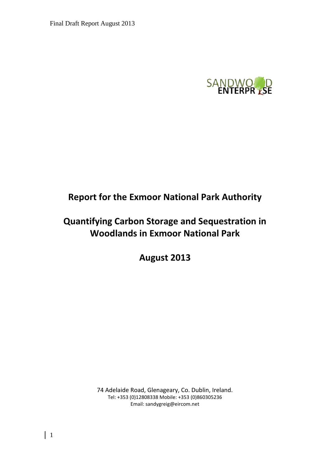

# **Report for the Exmoor National Park Authority**

# **Quantifying Carbon Storage and Sequestration in Woodlands in Exmoor National Park**

**August 2013**

74 Adelaide Road, Glenageary, Co. Dublin, Ireland. Tel: +353 (0)12808338 Mobile: +353 (0)860305236 Email: sandygreig@eircom.net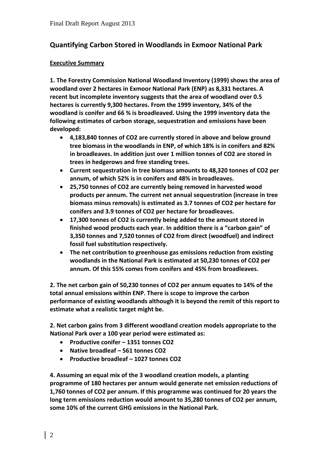# **Quantifying Carbon Stored in Woodlands in Exmoor National Park**

# **Executive Summary**

**1. The Forestry Commission National Woodland Inventory (1999) shows the area of woodland over 2 hectares in Exmoor National Park (ENP) as 8,331 hectares. A recent but incomplete inventory suggests that the area of woodland over 0.5 hectares is currently 9,300 hectares. From the 1999 inventory, 34% of the woodland is conifer and 66 % is broadleaved. Using the 1999 inventory data the following estimates of carbon storage, sequestration and emissions have been developed:**

- **4,183,840 tonnes of CO2 are currently stored in above and below ground tree biomass in the woodlands in ENP, of which 18% is in conifers and 82% in broadleaves. In addition just over 1 million tonnes of CO2 are stored in trees in hedgerows and free standing trees.**
- **Current sequestration in tree biomass amounts to 48,320 tonnes of CO2 per annum, of which 52% is in conifers and 48% in broadleaves.**
- **25,750 tonnes of CO2 are currently being removed in harvested wood products per annum. The current net annual sequestration (increase in tree biomass minus removals) is estimated as 3.7 tonnes of CO2 per hectare for conifers and 3.9 tonnes of CO2 per hectare for broadleaves.**
- **17,300 tonnes of CO2 is currently being added to the amount stored in finished wood products each year. In addition there is a "carbon gain" of 3,350 tonnes and 7,520 tonnes of CO2 from direct (woodfuel) and indirect fossil fuel substitution respectively.**
- **The net contribution to greenhouse gas emissions reduction from existing woodlands in the National Park is estimated at 50,230 tonnes of CO2 per annum. Of this 55% comes from conifers and 45% from broadleaves.**

**2. The net carbon gain of 50,230 tonnes of CO2 per annum equates to 14% of the total annual emissions within ENP. There is scope to improve the carbon performance of existing woodlands although it is beyond the remit of this report to estimate what a realistic target might be.** 

**2. Net carbon gains from 3 different woodland creation models appropriate to the National Park over a 100 year period were estimated as:**

- **Productive conifer – 1351 tonnes CO2**
- **Native broadleaf – 561 tonnes CO2**
- **Productive broadleaf – 1027 tonnes CO2**

**4. Assuming an equal mix of the 3 woodland creation models, a planting programme of 180 hectares per annum would generate net emission reductions of 1,760 tonnes of CO2 per annum. If this programme was continued for 20 years the long term emissions reduction would amount to 35,280 tonnes of CO2 per annum, some 10% of the current GHG emissions in the National Park.**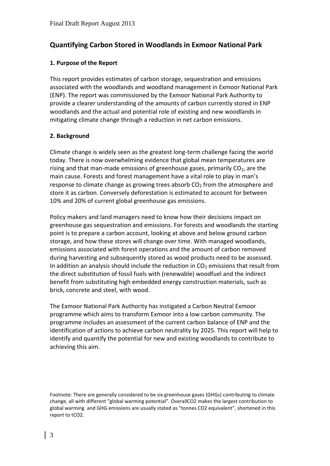# **Quantifying Carbon Stored in Woodlands in Exmoor National Park**

### **1. Purpose of the Report**

This report provides estimates of carbon storage, sequestration and emissions associated with the woodlands and woodland management in Exmoor National Park (ENP). The report was commissioned by the Exmoor National Park Authority to provide a clearer understanding of the amounts of carbon currently stored in ENP woodlands and the actual and potential role of existing and new woodlands in mitigating climate change through a reduction in net carbon emissions.

# **2. Background**

Climate change is widely seen as the greatest long-term challenge facing the world today. There is now overwhelming evidence that global mean temperatures are rising and that man-made emissions of greenhouse gases, primarily  $CO<sub>2</sub>$ , are the main cause. Forests and forest management have a vital role to play in man's response to climate change as growing trees absorb  $CO<sub>2</sub>$  from the atmosphere and store it as carbon. Conversely deforestation is estimated to account for between 10% and 20% of current global greenhouse gas emissions.

Policy makers and land managers need to know how their decisions impact on greenhouse gas sequestration and emissions. For forests and woodlands the starting point is to prepare a carbon account, looking at above and below ground carbon storage, and how these stores will change over time. With managed woodlands, emissions associated with forest operations and the amount of carbon removed during harvesting and subsequently stored as wood products need to be assessed. In addition an analysis should include the reduction in  $CO<sub>2</sub>$  emissions that result from the direct substitution of fossil fuels with (renewable) woodfuel and the indirect benefit from substituting high embedded energy construction materials, such as brick, concrete and steel, with wood.

The Exmoor National Park Authority has instigated a Carbon Neutral Exmoor programme which aims to transform Exmoor into a low carbon community. The programme includes an assessment of the current carbon balance of ENP and the identification of actions to achieve carbon neutrality by 2025. This report will help to identify and quantify the potential for new and existing woodlands to contribute to achieving this aim.

Footnote: There are generally considered to be six greenhouse gases (GHGs) contributing to climate change, all with different "global warming potential". OverallCO2 makes the largest contribution to global warming and GHG emissions are usually stated as "tonnes CO2 equivalent", shortened in this report to tCO2.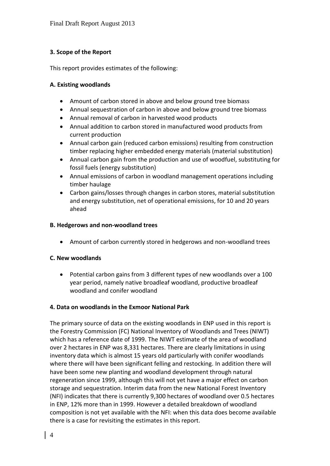# **3. Scope of the Report**

This report provides estimates of the following:

### **A. Existing woodlands**

- Amount of carbon stored in above and below ground tree biomass
- Annual sequestration of carbon in above and below ground tree biomass
- Annual removal of carbon in harvested wood products
- Annual addition to carbon stored in manufactured wood products from current production
- Annual carbon gain (reduced carbon emissions) resulting from construction timber replacing higher embedded energy materials (material substitution)
- Annual carbon gain from the production and use of woodfuel, substituting for fossil fuels (energy substitution)
- Annual emissions of carbon in woodland management operations including timber haulage
- Carbon gains/losses through changes in carbon stores, material substitution and energy substitution, net of operational emissions, for 10 and 20 years ahead

# **B. Hedgerows and non-woodland trees**

Amount of carbon currently stored in hedgerows and non-woodland trees

# **C. New woodlands**

 Potential carbon gains from 3 different types of new woodlands over a 100 year period, namely native broadleaf woodland, productive broadleaf woodland and conifer woodland

# **4. Data on woodlands in the Exmoor National Park**

The primary source of data on the existing woodlands in ENP used in this report is the Forestry Commission (FC) National Inventory of Woodlands and Trees (NIWT) which has a reference date of 1999. The NIWT estimate of the area of woodland over 2 hectares in ENP was 8,331 hectares. There are clearly limitations in using inventory data which is almost 15 years old particularly with conifer woodlands where there will have been significant felling and restocking. In addition there will have been some new planting and woodland development through natural regeneration since 1999, although this will not yet have a major effect on carbon storage and sequestration. Interim data from the new National Forest Inventory (NFI) indicates that there is currently 9,300 hectares of woodland over 0.5 hectares in ENP, 12% more than in 1999. However a detailed breakdown of woodland composition is not yet available with the NFI: when this data does become available there is a case for revisiting the estimates in this report.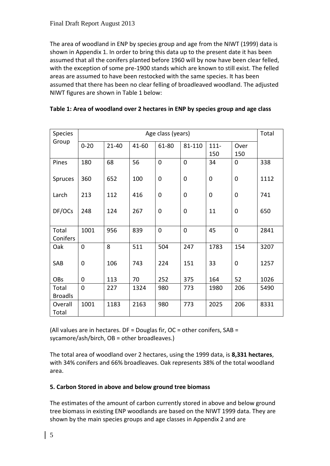The area of woodland in ENP by species group and age from the NIWT (1999) data is shown in Appendix 1. In order to bring this data up to the present date it has been assumed that all the conifers planted before 1960 will by now have been clear felled, with the exception of some pre-1900 stands which are known to still exist. The felled areas are assumed to have been restocked with the same species. It has been assumed that there has been no clear felling of broadleaved woodland. The adjusted NIWT figures are shown in Table 1 below:

| <b>Species</b>          | Age class (years) |           |       |                |                | Total          |             |      |
|-------------------------|-------------------|-----------|-------|----------------|----------------|----------------|-------------|------|
| Group                   | $0 - 20$          | $21 - 40$ | 41-60 | 61-80          | 81-110         | $111 -$<br>150 | Over<br>150 |      |
| Pines                   | 180               | 68        | 56    | $\mathbf 0$    | $\overline{0}$ | 34             | $\mathbf 0$ | 338  |
| Spruces                 | 360               | 652       | 100   | $\overline{0}$ | $\overline{0}$ | $\overline{0}$ | $\mathbf 0$ | 1112 |
| Larch                   | 213               | 112       | 416   | $\mathbf 0$    | 0              | 0              | $\mathbf 0$ | 741  |
| DF/OCs                  | 248               | 124       | 267   | $\overline{0}$ | $\overline{0}$ | 11             | 0           | 650  |
| Total<br>Conifers       | 1001              | 956       | 839   | $\Omega$       | $\overline{0}$ | 45             | $\mathbf 0$ | 2841 |
| Oak                     | $\overline{0}$    | 8         | 511   | 504            | 247            | 1783           | 154         | 3207 |
| SAB                     | 0                 | 106       | 743   | 224            | 151            | 33             | $\mathbf 0$ | 1257 |
| <b>OBs</b>              | 0                 | 113       | 70    | 252            | 375            | 164            | 52          | 1026 |
| Total<br><b>Broadls</b> | 0                 | 227       | 1324  | 980            | 773            | 1980           | 206         | 5490 |
| Overall<br>Total        | 1001              | 1183      | 2163  | 980            | 773            | 2025           | 206         | 8331 |

(All values are in hectares.  $DF =$  Douglas fir,  $OC =$  other conifers,  $SAB =$ sycamore/ash/birch, OB = other broadleaves.)

The total area of woodland over 2 hectares, using the 1999 data, is **8,331 hectares**, with 34% conifers and 66% broadleaves. Oak represents 38% of the total woodland area.

# **5. Carbon Stored in above and below ground tree biomass**

The estimates of the amount of carbon currently stored in above and below ground tree biomass in existing ENP woodlands are based on the NIWT 1999 data. They are shown by the main species groups and age classes in Appendix 2 and are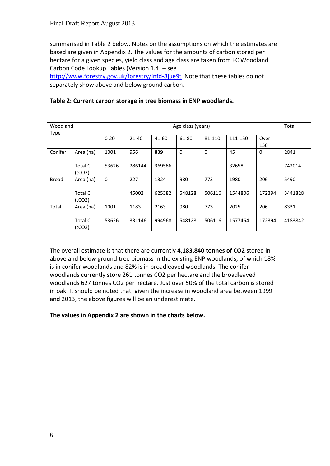summarised in Table 2 below. Notes on the assumptions on which the estimates are based are given in Appendix 2. The values for the amounts of carbon stored per hectare for a given species, yield class and age class are taken from FC Woodland Carbon Code Lookup Tables (Version 1.4) – see

<http://www.forestry.gov.uk/forestry/infd-8jue9t>Note that these tables do not separately show above and below ground carbon.

| Woodland     |                                       | Age class (years) |           |        |          |          |         |             | Total   |
|--------------|---------------------------------------|-------------------|-----------|--------|----------|----------|---------|-------------|---------|
| <b>Type</b>  |                                       | $0 - 20$          | $21 - 40$ | 41-60  | 61-80    | 81-110   | 111-150 | Over<br>150 |         |
| Conifer      | Area (ha)                             | 1001              | 956       | 839    | $\Omega$ | $\Omega$ | 45      | $\Omega$    | 2841    |
|              | Total C<br>(tCO <sub>2</sub> )        | 53626             | 286144    | 369586 |          |          | 32658   |             | 742014  |
| <b>Broad</b> | Area (ha)                             | $\mathbf 0$       | 227       | 1324   | 980      | 773      | 1980    | 206         | 5490    |
|              | <b>Total C</b><br>(tCO <sub>2</sub> ) |                   | 45002     | 625382 | 548128   | 506116   | 1544806 | 172394      | 3441828 |
| Total        | Area (ha)                             | 1001              | 1183      | 2163   | 980      | 773      | 2025    | 206         | 8331    |
|              | <b>Total C</b><br>(tCO <sub>2</sub> ) | 53626             | 331146    | 994968 | 548128   | 506116   | 1577464 | 172394      | 4183842 |

# **Table 2: Current carbon storage in tree biomass in ENP woodlands.**

The overall estimate is that there are currently **4,183,840 tonnes of CO2** stored in above and below ground tree biomass in the existing ENP woodlands, of which 18% is in conifer woodlands and 82% is in broadleaved woodlands. The conifer woodlands currently store 261 tonnes CO2 per hectare and the broadleaved woodlands 627 tonnes CO2 per hectare. Just over 50% of the total carbon is stored in oak. It should be noted that, given the increase in woodland area between 1999 and 2013, the above figures will be an underestimate.

# **The values in Appendix 2 are shown in the charts below.**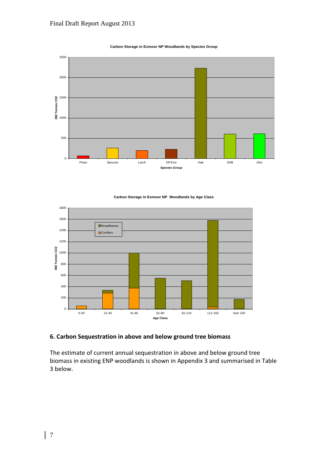

#### **Carbon Storage in Exmoor NP Woodlands by Species Group**





### **6. Carbon Sequestration in above and below ground tree biomass**

The estimate of current annual sequestration in above and below ground tree biomass in existing ENP woodlands is shown in Appendix 3 and summarised in Table 3 below.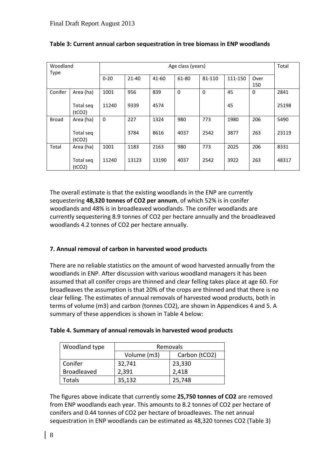| Woodland     |                                  | Age class (years) |           |       |             |          |         |             | Total |
|--------------|----------------------------------|-------------------|-----------|-------|-------------|----------|---------|-------------|-------|
| <b>Type</b>  |                                  | $0 - 20$          | $21 - 40$ | 41-60 | 61-80       | 81-110   | 111-150 | Over<br>150 |       |
| Conifer      | Area (ha)                        | 1001              | 956       | 839   | $\mathbf 0$ | $\Omega$ | 45      | 0           | 2841  |
|              | Total seq<br>(tCO <sub>2</sub> ) | 11240             | 9339      | 4574  |             |          | 45      |             | 25198 |
| <b>Broad</b> | Area (ha)                        | $\mathbf 0$       | 227       | 1324  | 980         | 773      | 1980    | 206         | 5490  |
|              | Total seq<br>(tCO <sub>2</sub> ) |                   | 3784      | 8616  | 4037        | 2542     | 3877    | 263         | 23119 |
| Total        | Area (ha)                        | 1001              | 1183      | 2163  | 980         | 773      | 2025    | 206         | 8331  |
|              | Total seg<br>(tCO <sub>2</sub> ) | 11240             | 13123     | 13190 | 4037        | 2542     | 3922    | 263         | 48317 |

# **Table 3: Current annual carbon sequestration in tree biomass in ENP woodlands**

The overall estimate is that the existing woodlands in the ENP are currently sequestering **48,320 tonnes of CO2 per annum**, of which 52% is in conifer woodlands and 48% is in broadleaved woodlands. The conifer woodlands are currently sequestering 8.9 tonnes of CO2 per hectare annually and the broadleaved woodlands 4.2 tonnes of CO2 per hectare annually.

# **7. Annual removal of carbon in harvested wood products**

There are no reliable statistics on the amount of wood harvested annually from the woodlands in ENP. After discussion with various woodland managers it has been assumed that all conifer crops are thinned and clear felling takes place at age 60. For broadleaves the assumption is that 20% of the crops are thinned and that there is no clear felling. The estimates of annual removals of harvested wood products, both in terms of volume (m3) and carbon (tonnes CO2), are shown in Appendices 4 and 5. A summary of these appendices is shown in Table 4 below:

# **Table 4. Summary of annual removals in harvested wood products**

| Woodland type      | Removals    |               |  |  |
|--------------------|-------------|---------------|--|--|
|                    | Volume (m3) | Carbon (tCO2) |  |  |
| Conifer            | 32,741      | 23,330        |  |  |
| <b>Broadleaved</b> | 2,391       | 2,418         |  |  |
| Totals             | 35,132      | 25,748        |  |  |

The figures above indicate that currently some **25,750 tonnes of CO2** are removed from ENP woodlands each year. This amounts to 8.2 tonnes of CO2 per hectare of conifers and 0.44 tonnes of CO2 per hectare of broadleaves. The net annual sequestration in ENP woodlands can be estimated as 48,320 tonnes CO2 (Table 3)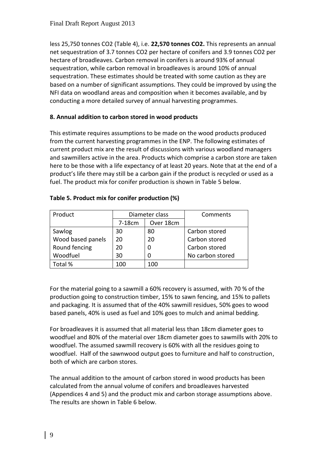less 25,750 tonnes CO2 (Table 4), i.e. **22,570 tonnes CO2.** This represents an annual net sequestration of 3.7 tonnes CO2 per hectare of conifers and 3.9 tonnes CO2 per hectare of broadleaves. Carbon removal in conifers is around 93% of annual sequestration, while carbon removal in broadleaves is around 10% of annual sequestration. These estimates should be treated with some caution as they are based on a number of significant assumptions. They could be improved by using the NFI data on woodland areas and composition when it becomes available, and by conducting a more detailed survey of annual harvesting programmes.

# **8. Annual addition to carbon stored in wood products**

This estimate requires assumptions to be made on the wood products produced from the current harvesting programmes in the ENP. The following estimates of current product mix are the result of discussions with various woodland managers and sawmillers active in the area. Products which comprise a carbon store are taken here to be those with a life expectancy of at least 20 years. Note that at the end of a product's life there may still be a carbon gain if the product is recycled or used as a fuel. The product mix for conifer production is shown in Table 5 below.

| Product           |        | Diameter class | Comments         |
|-------------------|--------|----------------|------------------|
|                   | 7-18cm | Over 18cm      |                  |
| Sawlog            | 30     | 80             | Carbon stored    |
| Wood based panels | 20     | 20             | Carbon stored    |
| Round fencing     | 20     |                | Carbon stored    |
| Woodfuel          | 30     |                | No carbon stored |
| Total %           | 100    | 100            |                  |

# **Table 5. Product mix for conifer production (%)**

For the material going to a sawmill a 60% recovery is assumed, with 70 % of the production going to construction timber, 15% to sawn fencing, and 15% to pallets and packaging. It is assumed that of the 40% sawmill residues, 50% goes to wood based panels, 40% is used as fuel and 10% goes to mulch and animal bedding.

For broadleaves it is assumed that all material less than 18cm diameter goes to woodfuel and 80% of the material over 18cm diameter goes to sawmills with 20% to woodfuel. The assumed sawmill recovery is 60% with all the residues going to woodfuel. Half of the sawnwood output goes to furniture and half to construction, both of which are carbon stores.

The annual addition to the amount of carbon stored in wood products has been calculated from the annual volume of conifers and broadleaves harvested (Appendices 4 and 5) and the product mix and carbon storage assumptions above. The results are shown in Table 6 below.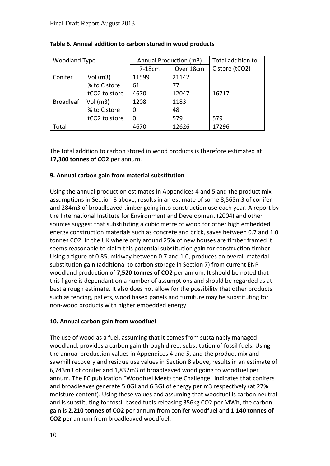| <b>Woodland Type</b> |                           | Annual Production (m3) |           | Total addition to |
|----------------------|---------------------------|------------------------|-----------|-------------------|
|                      |                           | 7-18cm                 | Over 18cm | C store (tCO2)    |
| Conifer              | Vol $(m3)$                | 11599                  | 21142     |                   |
|                      | % to C store              | 61                     | 77        |                   |
|                      | tCO <sub>2</sub> to store | 4670                   | 12047     | 16717             |
| <b>Broadleaf</b>     | Vol(m3)                   | 1208                   | 1183      |                   |
|                      | % to C store              |                        | 48        |                   |
|                      | tCO <sub>2</sub> to store | 0                      | 579       | 579               |
| Total                |                           | 4670                   | 12626     | 17296             |

# **Table 6. Annual addition to carbon stored in wood products**

The total addition to carbon stored in wood products is therefore estimated at **17,300 tonnes of CO2** per annum.

# **9. Annual carbon gain from material substitution**

Using the annual production estimates in Appendices 4 and 5 and the product mix assumptions in Section 8 above, results in an estimate of some 8,565m3 of conifer and 284m3 of broadleaved timber going into construction use each year. A report by the International Institute for Environment and Development (2004) and other sources suggest that substituting a cubic metre of wood for other high embedded energy construction materials such as concrete and brick, saves between 0.7 and 1.0 tonnes CO2. In the UK where only around 25% of new houses are timber framed it seems reasonable to claim this potential substitution gain for construction timber. Using a figure of 0.85, midway between 0.7 and 1.0, produces an overall material substitution gain (additional to carbon storage in Section 7) from current ENP woodland production of **7,520 tonnes of CO2** per annum. It should be noted that this figure is dependant on a number of assumptions and should be regarded as at best a rough estimate. It also does not allow for the possibility that other products such as fencing, pallets, wood based panels and furniture may be substituting for non-wood products with higher embedded energy.

# **10. Annual carbon gain from woodfuel**

The use of wood as a fuel, assuming that it comes from sustainably managed woodland, provides a carbon gain through direct substitution of fossil fuels. Using the annual production values in Appendices 4 and 5, and the product mix and sawmill recovery and residue use values in Section 8 above, results in an estimate of 6,743m3 of conifer and 1,832m3 of broadleaved wood going to woodfuel per annum. The FC publication "Woodfuel Meets the Challenge" indicates that conifers and broadleaves generate 5.0GJ and 6.3GJ of energy per m3 respectively (at 27% moisture content). Using these values and assuming that woodfuel is carbon neutral and is substituting for fossil based fuels releasing 356kg CO2 per MWh, the carbon gain is **2,210 tonnes of CO2** per annum from conifer woodfuel and **1,140 tonnes of CO2** per annum from broadleaved woodfuel.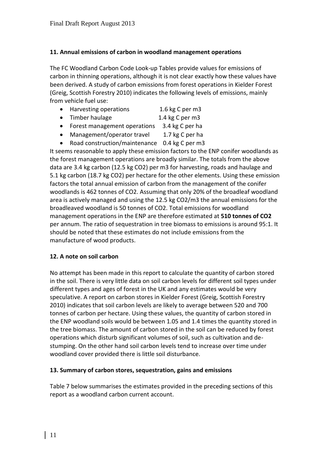# **11. Annual emissions of carbon in woodland management operations**

The FC Woodland Carbon Code Look-up Tables provide values for emissions of carbon in thinning operations, although it is not clear exactly how these values have been derived. A study of carbon emissions from forest operations in Kielder Forest (Greig, Scottish Forestry 2010) indicates the following levels of emissions, mainly from vehicle fuel use:

|  | Harvesting operations | 1.6 kg C per m3 |
|--|-----------------------|-----------------|
|--|-----------------------|-----------------|

- Timber haulage 1.4 kg C per m3
- Forest management operations 3.4 kg C per ha
- Management/operator travel 1.7 kg C per ha
- Road construction/maintenance 0.4 kg C per m3

It seems reasonable to apply these emission factors to the ENP conifer woodlands as the forest management operations are broadly similar. The totals from the above data are 3.4 kg carbon (12.5 kg CO2) per m3 for harvesting, roads and haulage and 5.1 kg carbon (18.7 kg CO2) per hectare for the other elements. Using these emission factors the total annual emission of carbon from the management of the conifer woodlands is 462 tonnes of CO2. Assuming that only 20% of the broadleaf woodland area is actively managed and using the 12.5 kg CO2/m3 the annual emissions for the broadleaved woodland is 50 tonnes of CO2. Total emissions for woodland management operations in the ENP are therefore estimated at **510 tonnes of CO2** per annum. The ratio of sequestration in tree biomass to emissions is around 95:1. It should be noted that these estimates do not include emissions from the manufacture of wood products.

# **12. A note on soil carbon**

No attempt has been made in this report to calculate the quantity of carbon stored in the soil. There is very little data on soil carbon levels for different soil types under different types and ages of forest in the UK and any estimates would be very speculative. A report on carbon stores in Kielder Forest (Greig, Scottish Forestry 2010) indicates that soil carbon levels are likely to average between 520 and 700 tonnes of carbon per hectare. Using these values, the quantity of carbon stored in the ENP woodland soils would be between 1.05 and 1.4 times the quantity stored in the tree biomass. The amount of carbon stored in the soil can be reduced by forest operations which disturb significant volumes of soil, such as cultivation and destumping. On the other hand soil carbon levels tend to increase over time under woodland cover provided there is little soil disturbance.

# **13. Summary of carbon stores, sequestration, gains and emissions**

Table 7 below summarises the estimates provided in the preceding sections of this report as a woodland carbon current account.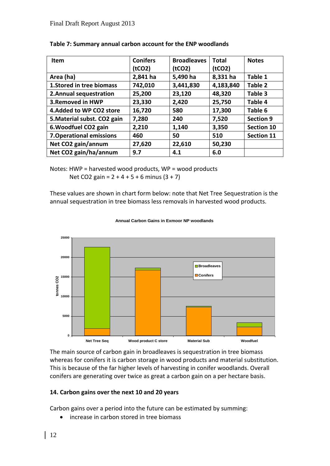| Item                            | <b>Conifers</b> | <b>Broadleaves</b>  | <b>Total</b>        | <b>Notes</b>      |
|---------------------------------|-----------------|---------------------|---------------------|-------------------|
|                                 | (tCO2)          | (tCO <sub>2</sub> ) | (tCO <sub>2</sub> ) |                   |
| Area (ha)                       | 2,841 ha        | 5,490 ha            | 8,331 ha            | Table 1           |
| 1. Stored in tree biomass       | 742,010         | 3,441,830           | 4,183,840           | Table 2           |
| 2. Annual sequestration         | 25,200          | 23,120              | 48,320              | Table 3           |
| 3. Removed in HWP               | 23,330          | 2,420               | 25,750              | Table 4           |
| 4. Added to WP CO2 store        | 16,720          | 580                 | 17,300              | Table 6           |
| 5. Material subst. CO2 gain     | 7,280           | 240                 | 7,520               | <b>Section 9</b>  |
| 6. Woodfuel CO2 gain            | 2,210           | 1,140               | 3,350               | <b>Section 10</b> |
| <b>7. Operational emissions</b> | 460             | 50                  | 510                 | <b>Section 11</b> |
| Net CO2 gain/annum              | 27,620          | 22,610              | 50,230              |                   |
| Net CO2 gain/ha/annum           | 9.7             | 4.1                 | 6.0                 |                   |

|  |  | Table 7: Summary annual carbon account for the ENP woodlands |
|--|--|--------------------------------------------------------------|
|--|--|--------------------------------------------------------------|

Notes: HWP = harvested wood products, WP = wood products Net CO2 gain =  $2 + 4 + 5 + 6$  minus  $(3 + 7)$ 

These values are shown in chart form below: note that Net Tree Sequestration is the annual sequestration in tree biomass less removals in harvested wood products.



#### **Annual Carbon Gains in Exmoor NP woodlands**

The main source of carbon gain in broadleaves is sequestration in tree biomass whereas for conifers it is carbon storage in wood products and material substitution. This is because of the far higher levels of harvesting in conifer woodlands. Overall conifers are generating over twice as great a carbon gain on a per hectare basis.

# **14. Carbon gains over the next 10 and 20 years**

Carbon gains over a period into the future can be estimated by summing:

• increase in carbon stored in tree biomass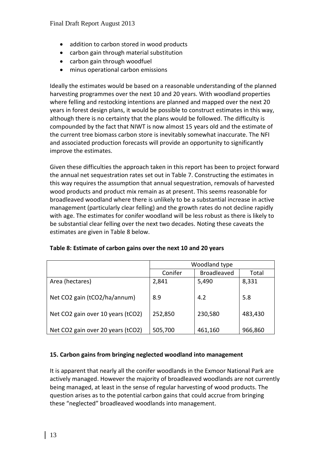- addition to carbon stored in wood products
- carbon gain through material substitution
- carbon gain through woodfuel
- minus operational carbon emissions

Ideally the estimates would be based on a reasonable understanding of the planned harvesting programmes over the next 10 and 20 years. With woodland properties where felling and restocking intentions are planned and mapped over the next 20 years in forest design plans, it would be possible to construct estimates in this way, although there is no certainty that the plans would be followed. The difficulty is compounded by the fact that NIWT is now almost 15 years old and the estimate of the current tree biomass carbon store is inevitably somewhat inaccurate. The NFI and associated production forecasts will provide an opportunity to significantly improve the estimates.

Given these difficulties the approach taken in this report has been to project forward the annual net sequestration rates set out in Table 7. Constructing the estimates in this way requires the assumption that annual sequestration, removals of harvested wood products and product mix remain as at present. This seems reasonable for broadleaved woodland where there is unlikely to be a substantial increase in active management (particularly clear felling) and the growth rates do not decline rapidly with age. The estimates for conifer woodland will be less robust as there is likely to be substantial clear felling over the next two decades. Noting these caveats the estimates are given in Table 8 below.

|                                   | Woodland type |                    |         |  |  |
|-----------------------------------|---------------|--------------------|---------|--|--|
|                                   | Conifer       | <b>Broadleaved</b> | Total   |  |  |
| Area (hectares)                   | 2,841         | 5,490              | 8,331   |  |  |
| Net CO2 gain (tCO2/ha/annum)      | 8.9           | 4.2                | 5.8     |  |  |
| Net CO2 gain over 10 years (tCO2) | 252,850       | 230,580            | 483,430 |  |  |
| Net CO2 gain over 20 years (tCO2) | 505,700       | 461,160            | 966,860 |  |  |

### **Table 8: Estimate of carbon gains over the next 10 and 20 years**

### **15. Carbon gains from bringing neglected woodland into management**

It is apparent that nearly all the conifer woodlands in the Exmoor National Park are actively managed. However the majority of broadleaved woodlands are not currently being managed, at least in the sense of regular harvesting of wood products. The question arises as to the potential carbon gains that could accrue from bringing these "neglected" broadleaved woodlands into management.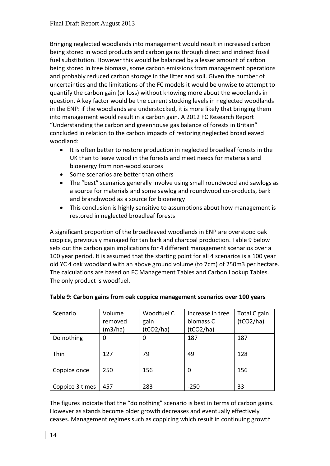Bringing neglected woodlands into management would result in increased carbon being stored in wood products and carbon gains through direct and indirect fossil fuel substitution. However this would be balanced by a lesser amount of carbon being stored in tree biomass, some carbon emissions from management operations and probably reduced carbon storage in the litter and soil. Given the number of uncertainties and the limitations of the FC models it would be unwise to attempt to quantify the carbon gain (or loss) without knowing more about the woodlands in question. A key factor would be the current stocking levels in neglected woodlands in the ENP: if the woodlands are understocked, it is more likely that bringing them into management would result in a carbon gain. A 2012 FC Research Report "Understanding the carbon and greenhouse gas balance of forests in Britain" concluded in relation to the carbon impacts of restoring neglected broadleaved woodland:

- It is often better to restore production in neglected broadleaf forests in the UK than to leave wood in the forests and meet needs for materials and bioenergy from non-wood sources
- Some scenarios are better than others
- The "best" scenarios generally involve using small roundwood and sawlogs as a source for materials and some sawlog and roundwood co-products, bark and branchwood as a source for bioenergy
- This conclusion is highly sensitive to assumptions about how management is restored in neglected broadleaf forests

A significant proportion of the broadleaved woodlands in ENP are overstood oak coppice, previously managed for tan bark and charcoal production. Table 9 below sets out the carbon gain implications for 4 different management scenarios over a 100 year period. It is assumed that the starting point for all 4 scenarios is a 100 year old YC 4 oak woodland with an above ground volume (to 7cm) of 250m3 per hectare. The calculations are based on FC Management Tables and Carbon Lookup Tables. The only product is woodfuel.

| Scenario        | Volume  | Woodfuel C | Increase in tree | Total C gain |
|-----------------|---------|------------|------------------|--------------|
|                 | removed | gain       | biomass C        | (tCO2/ha)    |
|                 | (m3/ha) | (tCO2/ha)  | (tCO2/ha)        |              |
| Do nothing      | 0       | 0          | 187              | 187          |
|                 |         |            |                  |              |
| Thin            | 127     | 79         | 49               | 128          |
|                 |         |            |                  |              |
| Coppice once    | 250     | 156        | 0                | 156          |
|                 |         |            |                  |              |
| Coppice 3 times | 457     | 283        | $-250$           | 33           |

# **Table 9: Carbon gains from oak coppice management scenarios over 100 years**

The figures indicate that the "do nothing" scenario is best in terms of carbon gains. However as stands become older growth decreases and eventually effectively ceases. Management regimes such as coppicing which result in continuing growth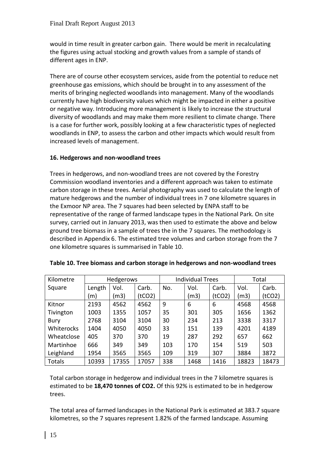would in time result in greater carbon gain. There would be merit in recalculating the figures using actual stocking and growth values from a sample of stands of different ages in ENP.

There are of course other ecosystem services, aside from the potential to reduce net greenhouse gas emissions, which should be brought in to any assessment of the merits of bringing neglected woodlands into management. Many of the woodlands currently have high biodiversity values which might be impacted in either a positive or negative way. Introducing more management is likely to increase the structural diversity of woodlands and may make them more resilient to climate change. There is a case for further work, possibly looking at a few characteristic types of neglected woodlands in ENP, to assess the carbon and other impacts which would result from increased levels of management.

# **16. Hedgerows and non-woodland trees**

Trees in hedgerows, and non-woodland trees are not covered by the Forestry Commission woodland inventories and a different approach was taken to estimate carbon storage in these trees. Aerial photography was used to calculate the length of mature hedgerows and the number of individual trees in 7 one kilometre squares in the Exmoor NP area. The 7 squares had been selected by ENPA staff to be representative of the range of farmed landscape types in the National Park. On site survey, carried out in January 2013, was then used to estimate the above and below ground tree biomass in a sample of trees the in the 7 squares. The methodology is described in Appendix 6. The estimated tree volumes and carbon storage from the 7 one kilometre squares is summarised in Table 10.

| Kilometre  | <b>Hedgerows</b> |       |        |     | <b>Individual Trees</b> |        | Total |        |
|------------|------------------|-------|--------|-----|-------------------------|--------|-------|--------|
| Square     | Length           | Vol.  | Carb.  | No. | Vol.                    | Carb.  | Vol.  | Carb.  |
|            | (m)              | (m3)  | (tCO2) |     | (m3)                    | (tCO2) | (m3)  | (tCO2) |
| Kitnor     | 2193             | 4562  | 4562   | 9   | 6                       | 6      | 4568  | 4568   |
| Tivington  | 1003             | 1355  | 1057   | 35  | 301                     | 305    | 1656  | 1362   |
| Bury       | 2768             | 3104  | 3104   | 30  | 234                     | 213    | 3338  | 3317   |
| Whiterocks | 1404             | 4050  | 4050   | 33  | 151                     | 139    | 4201  | 4189   |
| Wheatclose | 405              | 370   | 370    | 19  | 287                     | 292    | 657   | 662    |
| Martinhoe  | 666              | 349   | 349    | 103 | 170                     | 154    | 519   | 503    |
| Leighland  | 1954             | 3565  | 3565   | 109 | 319                     | 307    | 3884  | 3872   |
| Totals     | 10393            | 17355 | 17057  | 338 | 1468                    | 1416   | 18823 | 18473  |

|  | Table 10. Tree biomass and carbon storage in hedgerows and non-woodland trees |  |
|--|-------------------------------------------------------------------------------|--|
|--|-------------------------------------------------------------------------------|--|

Total carbon storage in hedgerow and individual trees in the 7 kilometre squares is estimated to be **18,470 tonnes of CO2.** Of this 92% is estimated to be in hedgerow trees.

The total area of farmed landscapes in the National Park is estimated at 383.7 square kilometres, so the 7 squares represent 1.82% of the farmed landscape. Assuming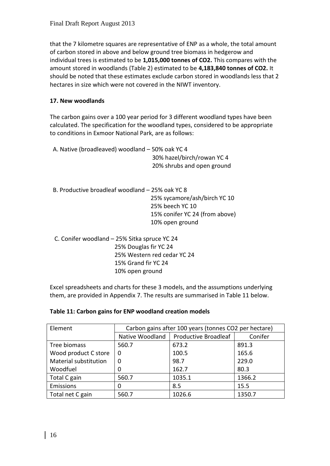that the 7 kilometre squares are representative of ENP as a whole, the total amount of carbon stored in above and below ground tree biomass in hedgerow and individual trees is estimated to be **1,015,000 tonnes of CO2.** This compares with the amount stored in woodlands (Table 2) estimated to be **4,183,840 tonnes of CO2.** It should be noted that these estimates exclude carbon stored in woodlands less that 2 hectares in size which were not covered in the NIWT inventory.

# **17. New woodlands**

The carbon gains over a 100 year period for 3 different woodland types have been calculated. The specification for the woodland types, considered to be appropriate to conditions in Exmoor National Park, are as follows:

|                                              | A. Native (broadleaved) woodland - 50% oak YC 4<br>30% hazel/birch/rowan YC 4 |
|----------------------------------------------|-------------------------------------------------------------------------------|
|                                              | 20% shrubs and open ground                                                    |
|                                              | B. Productive broadleaf woodland – 25% oak YC 8                               |
|                                              | 25% sycamore/ash/birch YC 10                                                  |
|                                              | 25% beech YC 10                                                               |
|                                              | 15% conifer YC 24 (from above)                                                |
|                                              | 10% open ground                                                               |
| C. Conifer woodland - 25% Sitka spruce YC 24 |                                                                               |
|                                              | 25% Douglas fir YC 24                                                         |
|                                              | 25% Western red cedar YC 24                                                   |
|                                              | 15% Grand fir YC 24                                                           |
|                                              | 10% open ground                                                               |

Excel spreadsheets and charts for these 3 models, and the assumptions underlying them, are provided in Appendix 7. The results are summarised in Table 11 below.

| Element               | Carbon gains after 100 years (tonnes CO2 per hectare) |                                        |         |  |  |  |  |  |
|-----------------------|-------------------------------------------------------|----------------------------------------|---------|--|--|--|--|--|
|                       |                                                       | Native Woodland   Productive Broadleaf | Conifer |  |  |  |  |  |
| Tree biomass          | 560.7                                                 | 673.2                                  | 891.3   |  |  |  |  |  |
| Wood product C store  | 0                                                     | 100.5                                  | 165.6   |  |  |  |  |  |
| Material substitution | 0                                                     | 98.7                                   | 229.0   |  |  |  |  |  |
| Woodfuel              |                                                       | 162.7                                  | 80.3    |  |  |  |  |  |
| Total C gain          | 560.7                                                 | 1035.1                                 | 1366.2  |  |  |  |  |  |
| Emissions             |                                                       | 8.5                                    | 15.5    |  |  |  |  |  |
| Total net C gain      | 560.7                                                 | 1026.6                                 | 1350.7  |  |  |  |  |  |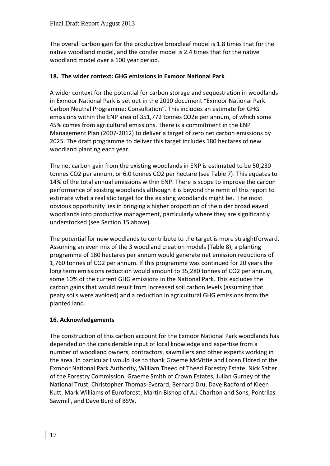The overall carbon gain for the productive broadleaf model is 1.8 times that for the native woodland model, and the conifer model is 2.4 times that for the native woodland model over a 100 year period.

# **18. The wider context: GHG emissions in Exmoor National Park**

A wider context for the potential for carbon storage and sequestration in woodlands in Exmoor National Park is set out in the 2010 document "Exmoor National Park Carbon Neutral Programme: Consultation". This includes an estimate for GHG emissions within the ENP area of 351,772 tonnes CO2e per annum, of which some 45% comes from agricultural emissions. There is a commitment in the ENP Management Plan (2007-2012) to deliver a target of zero net carbon emissions by 2025. The draft programme to deliver this target includes 180 hectares of new woodland planting each year.

The net carbon gain from the existing woodlands in ENP is estimated to be 50,230 tonnes CO2 per annum, or 6.0 tonnes CO2 per hectare (see Table 7). This equates to 14% of the total annual emissions within ENP. There is scope to improve the carbon performance of existing woodlands although it is beyond the remit of this report to estimate what a realistic target for the existing woodlands might be. The most obvious opportunity lies in bringing a higher proportion of the older broadleaved woodlands into productive management, particularly where they are significantly understocked (see Section 15 above).

The potential for new woodlands to contribute to the target is more straightforward. Assuming an even mix of the 3 woodland creation models (Table 8), a planting programme of 180 hectares per annum would generate net emission reductions of 1,760 tonnes of CO2 per annum. If this programme was continued for 20 years the long term emissions reduction would amount to 35,280 tonnes of CO2 per annum, some 10% of the current GHG emissions in the National Park. This excludes the carbon gains that would result from increased soil carbon levels (assuming that peaty soils were avoided) and a reduction in agricultural GHG emissions from the planted land.

# **16. Acknowledgements**

The construction of this carbon account for the Exmoor National Park woodlands has depended on the considerable input of local knowledge and expertise from a number of woodland owners, contractors, sawmillers and other experts working in the area. In particular I would like to thank Graeme McVittie and Loren Eldred of the Exmoor National Park Authority, William Theed of Theed Forestry Estate, Nick Salter of the Forestry Commission, Graeme Smith of Crown Estates, Julian Gurney of the National Trust, Christopher Thomas-Everard, Bernard Dru, Dave Radford of Kleen Kutt, Mark Williams of Euroforest, Martin Bishop of A.J Charlton and Sons, Pontrilas Sawmill, and Dave Burd of BSW.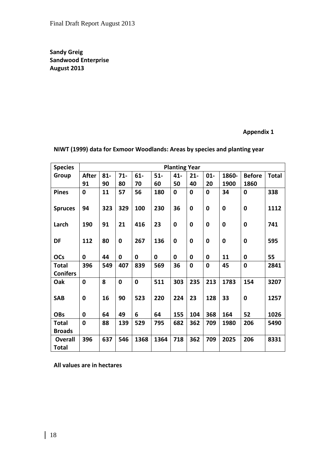**Sandy Greig Sandwood Enterprise August 2013**

# **Appendix 1**

| <b>Species</b>                 |              |        |             |             |             | <b>Planting Year</b> |             |              |             |               |              |
|--------------------------------|--------------|--------|-------------|-------------|-------------|----------------------|-------------|--------------|-------------|---------------|--------------|
| Group                          | <b>After</b> | $81 -$ | $71 -$      | $61-$       | $51-$       | $41 -$               | $21 -$      | $01 -$       | 1860-       | <b>Before</b> | <b>Total</b> |
|                                | 91           | 90     | 80          | 70          | 60          | 50                   | 40          | 20           | 1900        | 1860          |              |
| <b>Pines</b>                   | $\mathbf 0$  | 11     | 57          | 56          | 180         | $\mathbf 0$          | $\mathbf 0$ | 0            | 34          | $\mathbf 0$   | 338          |
| <b>Spruces</b>                 | 94           | 323    | 329         | 100         | 230         | 36                   | $\mathbf 0$ | 0            | $\mathbf 0$ | 0             | 1112         |
| Larch                          | 190          | 91     | 21          | 416         | 23          | $\mathbf 0$          | 0           | 0            | $\mathbf 0$ | 0             | 741          |
| DF                             | 112          | 80     | $\bf{0}$    | 267         | 136         | 0                    | 0           | 0            | $\mathbf 0$ | 0             | 595          |
| <b>OCs</b>                     | 0            | 44     | $\mathbf 0$ | 0           | $\mathbf 0$ | 0                    | $\mathbf 0$ | 0            | 11          | $\mathbf 0$   | 55           |
| <b>Total</b>                   | 396          | 549    | 407         | 839         | 569         | 36                   | $\mathbf 0$ | $\mathbf{0}$ | 45          | $\mathbf 0$   | 2841         |
| <b>Conifers</b>                |              |        |             |             |             |                      |             |              |             |               |              |
| Oak                            | $\mathbf 0$  | 8      | $\bf{0}$    | $\mathbf 0$ | 511         | 303                  | 235         | 213          | 1783        | 154           | 3207         |
|                                |              |        |             |             |             |                      |             |              |             |               |              |
| <b>SAB</b>                     | 0            | 16     | 90          | 523         | 220         | 224                  | 23          | 128          | 33          | $\mathbf 0$   | 1257         |
| <b>OBs</b>                     | 0            | 64     | 49          | 6           | 64          | 155                  | 104         | 368          | 164         | 52            | 1026         |
| <b>Total</b>                   | $\mathbf 0$  | 88     | 139         | 529         | 795         | 682                  | 362         | 709          | 1980        | 206           | 5490         |
| <b>Broads</b>                  |              |        |             |             |             |                      |             |              |             |               |              |
| <b>Overall</b><br><b>Total</b> | 396          | 637    | 546         | 1368        | 1364        | 718                  | 362         | 709          | 2025        | 206           | 8331         |

**NIWT (1999) data for Exmoor Woodlands: Areas by species and planting year**

**All values are in hectares**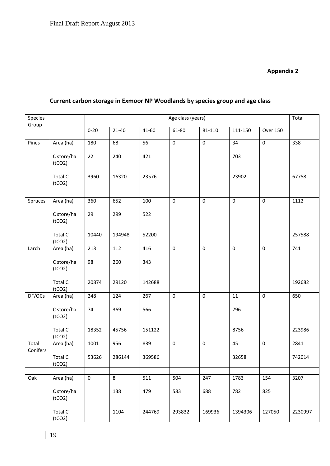# **Appendix 2**

| Species           |                      |           |         | Age class (years)<br>Group |             |             |           |                     |         |  |
|-------------------|----------------------|-----------|---------|----------------------------|-------------|-------------|-----------|---------------------|---------|--|
|                   |                      | $0 - 20$  | $21-40$ | 41-60                      | 61-80       | 81-110      | 111-150   | <b>Over 150</b>     |         |  |
| Pines             | Area (ha)            | 180       | 68      | 56                         | $\pmb{0}$   | $\pmb{0}$   | 34        | $\mathsf{O}\xspace$ | 338     |  |
|                   | C store/ha<br>(tCO2) | 22        | 240     | 421                        |             |             | 703       |                     |         |  |
|                   | Total C<br>(tCO2)    | 3960      | 16320   | 23576                      |             |             | 23902     |                     | 67758   |  |
| Spruces           | Area (ha)            | 360       | 652     | 100                        | $\pmb{0}$   | $\pmb{0}$   | $\pmb{0}$ | $\boldsymbol{0}$    | 1112    |  |
|                   | C store/ha<br>(tCO2) | 29        | 299     | 522                        |             |             |           |                     |         |  |
|                   | Total C<br>(tCO2)    | 10440     | 194948  | 52200                      |             |             |           |                     | 257588  |  |
| Larch             | Area (ha)            | 213       | 112     | 416                        | $\mathbf 0$ | $\pmb{0}$   | $\pmb{0}$ | $\mathbf 0$         | 741     |  |
|                   | C store/ha<br>(tCO2) | 98        | 260     | 343                        |             |             |           |                     |         |  |
|                   | Total C<br>(tCO2)    | 20874     | 29120   | 142688                     |             |             |           |                     | 192682  |  |
| DF/OCs            | Area (ha)            | 248       | 124     | 267                        | $\mathbf 0$ | $\mathbf 0$ | 11        | $\mathbf 0$         | 650     |  |
|                   | C store/ha<br>(tCO2) | 74        | 369     | 566                        |             |             | 796       |                     |         |  |
|                   | Total C<br>(tCO2)    | 18352     | 45756   | 151122                     |             |             | 8756      |                     | 223986  |  |
| Total<br>Conifers | Area (ha)            | 1001      | 956     | 839                        | $\pmb{0}$   | $\pmb{0}$   | 45        | $\mathbf 0$         | 2841    |  |
|                   | Total C<br>(tCO2)    | 53626     | 286144  | 369586                     |             |             | 32658     |                     | 742014  |  |
| Oak               | Area (ha)            | $\pmb{0}$ | 8       | 511                        | 504         | 247         | 1783      | 154                 | 3207    |  |
|                   |                      |           |         |                            |             |             |           |                     |         |  |
|                   | C store/ha<br>(tCO2) |           | 138     | 479                        | 583         | 688         | 782       | 825                 |         |  |
|                   | Total C<br>(tCO2)    |           | 1104    | 244769                     | 293832      | 169936      | 1394306   | 127050              | 2230997 |  |

# **Current carbon storage in Exmoor NP Woodlands by species group and age class**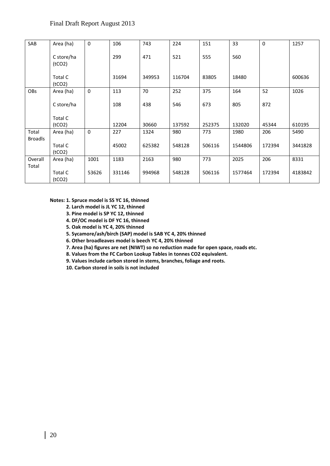| SAB            | Area (ha)                      | $\mathbf 0$ | 106    | 743    | 224    | 151    | 33      | $\mathbf 0$ | 1257    |
|----------------|--------------------------------|-------------|--------|--------|--------|--------|---------|-------------|---------|
|                | C store/ha<br>(tCO2)           |             | 299    | 471    | 521    | 555    | 560     |             |         |
|                | Total C<br>(tCO2)              |             | 31694  | 349953 | 116704 | 83805  | 18480   |             | 600636  |
| OBs            | Area (ha)                      | $\pmb{0}$   | 113    | 70     | 252    | 375    | 164     | 52          | 1026    |
|                | C store/ha                     |             | 108    | 438    | 546    | 673    | 805     | 872         |         |
|                | Total C                        |             |        |        |        |        |         |             |         |
|                | (tCO2)                         |             | 12204  | 30660  | 137592 | 252375 | 132020  | 45344       | 610195  |
| Total          | Area (ha)                      | $\mathbf 0$ | 227    | 1324   | 980    | 773    | 1980    | 206         | 5490    |
| <b>Broadls</b> |                                |             |        |        |        |        |         |             |         |
|                | Total C<br>(tCO <sub>2</sub> ) |             | 45002  | 625382 | 548128 | 506116 | 1544806 | 172394      | 3441828 |
| Overall        | Area (ha)                      | 1001        | 1183   | 2163   | 980    | 773    | 2025    | 206         | 8331    |
| Total          |                                |             |        |        |        |        |         |             |         |
|                | Total C<br>(tCO <sub>2</sub> ) | 53626       | 331146 | 994968 | 548128 | 506116 | 1577464 | 172394      | 4183842 |

#### **Notes: 1. Spruce model is SS YC 16, thinned**

- **2. Larch model is JL YC 12, thinned**
- **3. Pine model is SP YC 12, thinned**
- **4. DF/OC model is DF YC 16, thinned**
- **5. Oak model is YC 4, 20% thinned**
- **5. Sycamore/ash/birch (SAP) model is SAB YC 4, 20% thinned**
- **6. Other broadleaves model is beech YC 4, 20% thinned**
- **7. Area (ha) figures are net (NIWT) so no reduction made for open space, roads etc.**
- **8. Values from the FC Carbon Lookup Tables in tonnes CO2 equivalent.**
- **9. Values include carbon stored in stems, branches, foliage and roots.**
- **10. Carbon stored in soils is not included**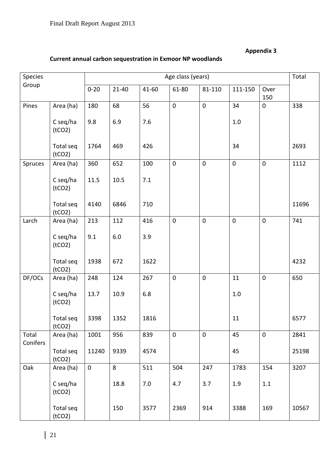# **Appendix 3**

# **Current annual carbon sequestration in Exmoor NP woodlands**

| Species           |                     |             |           |           | Age class (years) |             |             |                  | Total |
|-------------------|---------------------|-------------|-----------|-----------|-------------------|-------------|-------------|------------------|-------|
| Group             |                     | $0 - 20$    | $21 - 40$ | $41 - 60$ | 61-80             | 81-110      | 111-150     | Over<br>150      |       |
| Pines             | Area (ha)           | 180         | 68        | 56        | $\mathbf 0$       | $\pmb{0}$   | 34          | $\boldsymbol{0}$ | 338   |
|                   | C seq/ha<br>(tCO2)  | 9.8         | 6.9       | 7.6       |                   |             | $1.0$       |                  |       |
|                   | Total seq<br>(tCO2) | 1764        | 469       | 426       |                   |             | 34          |                  | 2693  |
| Spruces           | Area (ha)           | 360         | 652       | 100       | $\mathbf 0$       | $\pmb{0}$   | $\mathsf 0$ | $\boldsymbol{0}$ | 1112  |
|                   | C seq/ha<br>(tCO2)  | 11.5        | 10.5      | 7.1       |                   |             |             |                  |       |
|                   | Total seq<br>(tCO2) | 4140        | 6846      | 710       |                   |             |             |                  | 11696 |
| Larch             | Area (ha)           | 213         | 112       | 416       | $\mathbf 0$       | $\pmb{0}$   | $\mathbf 0$ | $\boldsymbol{0}$ | 741   |
|                   | C seq/ha<br>(tCO2)  | 9.1         | 6.0       | 3.9       |                   |             |             |                  |       |
|                   | Total seq<br>(tCO2) | 1938        | 672       | 1622      |                   |             |             |                  | 4232  |
| DF/OCs            | Area (ha)           | 248         | 124       | 267       | $\mathbf 0$       | $\pmb{0}$   | 11          | $\pmb{0}$        | 650   |
|                   | C seq/ha<br>(tCO2)  | 13.7        | 10.9      | 6.8       |                   |             | $1.0$       |                  |       |
|                   | Total seq<br>(tCO2) | 3398        | 1352      | 1816      |                   |             | 11          |                  | 6577  |
| Total<br>Conifers | Area (ha)           | 1001        | 956       | 839       | $\pmb{0}$         | $\mathbf 0$ | 45          | $\mathbf 0$      | 2841  |
|                   | Total seq<br>(tCO2) | 11240       | 9339      | 4574      |                   |             | 45          |                  | 25198 |
| Oak               | Area (ha)           | $\mathbf 0$ | 8         | 511       | 504               | 247         | 1783        | 154              | 3207  |
|                   | C seq/ha<br>(tCO2)  |             | 18.8      | 7.0       | 4.7               | 3.7         | 1.9         | $1.1\,$          |       |
|                   | Total seq<br>(tCO2) |             | 150       | 3577      | 2369              | 914         | 3388        | 169              | 10567 |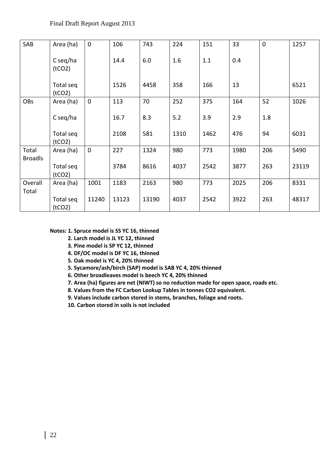| SAB            | Area (ha)           | $\mathbf{0}$ | 106   | 743   | 224  | 151  | 33   | $\overline{0}$ | 1257  |
|----------------|---------------------|--------------|-------|-------|------|------|------|----------------|-------|
|                | C seq/ha<br>(tCO2)  |              | 14.4  | 6.0   | 1.6  | 1.1  | 0.4  |                |       |
|                | Total seq<br>(tCO2) |              | 1526  | 4458  | 358  | 166  | 13   |                | 6521  |
| <b>OBs</b>     | Area (ha)           | $\mathbf 0$  | 113   | 70    | 252  | 375  | 164  | 52             | 1026  |
|                | C seq/ha            |              | 16.7  | 8.3   | 5.2  | 3.9  | 2.9  | 1.8            |       |
|                | Total seq<br>(tCO2) |              | 2108  | 581   | 1310 | 1462 | 476  | 94             | 6031  |
| Total          | Area (ha)           | $\mathbf{0}$ | 227   | 1324  | 980  | 773  | 1980 | 206            | 5490  |
| <b>Broadls</b> | Total seq<br>(tCO2) |              | 3784  | 8616  | 4037 | 2542 | 3877 | 263            | 23119 |
| Overall        | Area (ha)           | 1001         | 1183  | 2163  | 980  | 773  | 2025 | 206            | 8331  |
| Total          | Total seq<br>(tCO2) | 11240        | 13123 | 13190 | 4037 | 2542 | 3922 | 263            | 48317 |

### **Notes: 1. Spruce model is SS YC 16, thinned**

- **2. Larch model is JL YC 12, thinned**
- **3. Pine model is SP YC 12, thinned**
- **4. DF/OC model is DF YC 16, thinned**
- **5. Oak model is YC 4, 20% thinned**
- **5. Sycamore/ash/birch (SAP) model is SAB YC 4, 20% thinned**
- **6. Other broadleaves model is beech YC 4, 20% thinned**
- **7. Area (ha) figures are net (NIWT) so no reduction made for open space, roads etc.**
- **8. Values from the FC Carbon Lookup Tables in tonnes CO2 equivalent.**
- **9. Values include carbon stored in stems, branches, foliage and roots.**
- **10. Carbon stored in soils is not included**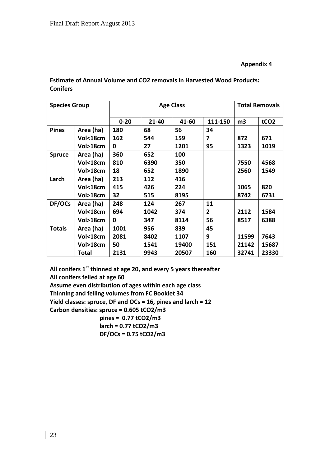### **Appendix 4**

# **Estimate of Annual Volume and CO2 removals in Harvested Wood Products: Conifers**

| <b>Species Group</b> |           |          | <b>Age Class</b> |       | <b>Total Removals</b> |       |                  |
|----------------------|-----------|----------|------------------|-------|-----------------------|-------|------------------|
|                      |           | $0 - 20$ | $21 - 40$        | 41-60 | 111-150               | m3    | tCO <sub>2</sub> |
| <b>Pines</b>         | Area (ha) | 180      | 68               | 56    | 34                    |       |                  |
|                      | Vol<18cm  | 162      | 544              | 159   | 7                     | 872   | 671              |
|                      | Vol>18cm  | 0        | 27               | 1201  | 95                    | 1323  | 1019             |
| <b>Spruce</b>        | Area (ha) | 360      | 652              | 100   |                       |       |                  |
|                      | Vol<18cm  | 810      | 6390             | 350   |                       | 7550  | 4568             |
|                      | Vol>18cm  | 18       | 652              | 1890  |                       | 2560  | 1549             |
| Larch                | Area (ha) | 213      | 112              | 416   |                       |       |                  |
|                      | Vol<18cm  | 415      | 426              | 224   |                       | 1065  | 820              |
|                      | Vol>18cm  | 32       | 515              | 8195  |                       | 8742  | 6731             |
| DF/OCs               | Area (ha) | 248      | 124              | 267   | 11                    |       |                  |
|                      | Vol<18cm  | 694      | 1042             | 374   | $\overline{2}$        | 2112  | 1584             |
|                      | Vol>18cm  | 0        | 347              | 8114  | 56                    | 8517  | 6388             |
| <b>Totals</b>        | Area (ha) | 1001     | 956              | 839   | 45                    |       |                  |
|                      | Vol<18cm  | 2081     | 8402             | 1107  | 9                     | 11599 | 7643             |
|                      | Vol>18cm  | 50       | 1541             | 19400 | 151                   | 21142 | 15687            |
|                      | Total     | 2131     | 9943             | 20507 | 160                   | 32741 | 23330            |

**All conifers 1st thinned at age 20, and every 5 years thereafter All conifers felled at age 60 Assume even distribution of ages within each age class Thinning and felling volumes from FC Booklet 34 Yield classes: spruce, DF and OCs = 16, pines and larch = 12 Carbon densities: spruce = 0.605 tCO2/m3 pines = 0.77 tCO2/m3**

 **larch = 0.77 tCO2/m3 DF/OCs = 0.75 tCO2/m3**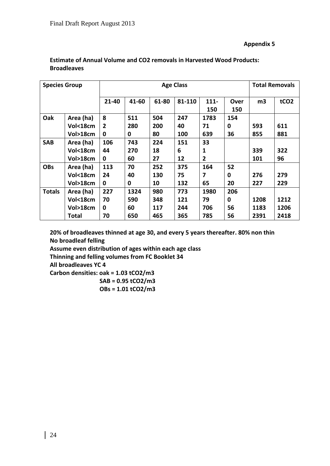# **Appendix 5**

| <b>Species Group</b> |              |                |       |       | <b>Total Removals</b> |                |             |                |                  |
|----------------------|--------------|----------------|-------|-------|-----------------------|----------------|-------------|----------------|------------------|
|                      |              | 21-40          | 41-60 | 61-80 | 81-110                | $111 -$<br>150 | Over<br>150 | m <sub>3</sub> | tCO <sub>2</sub> |
| Oak                  | Area (ha)    | 8              | 511   | 504   | 247                   | 1783           | 154         |                |                  |
|                      | Vol<18cm     | $\overline{2}$ | 280   | 200   | 40                    | 71             | 0           | 593            | 611              |
|                      | Vol>18cm     | 0              | 0     | 80    | 100                   | 639            | 36          | 855            | 881              |
| <b>SAB</b>           | Area (ha)    | 106            | 743   | 224   | 151                   | 33             |             |                |                  |
|                      | Vol<18cm     | 44             | 270   | 18    | 6                     | 1              |             | 339            | 322              |
|                      | Vol>18cm     | 0              | 60    | 27    | 12                    | $\overline{2}$ |             | 101            | 96               |
| <b>OBs</b>           | Area (ha)    | 113            | 70    | 252   | 375                   | 164            | 52          |                |                  |
|                      | Vol<18cm     | 24             | 40    | 130   | 75                    | 7              | 0           | 276            | 279              |
|                      | Vol>18cm     | 0              | 0     | 10    | 132                   | 65             | 20          | 227            | 229              |
| <b>Totals</b>        | Area (ha)    | 227            | 1324  | 980   | 773                   | 1980           | 206         |                |                  |
|                      | Vol<18cm     | 70             | 590   | 348   | 121                   | 79             | 0           | 1208           | 1212             |
|                      | Vol>18cm     | 0              | 60    | 117   | 244                   | 706            | 56          | 1183           | 1206             |
|                      | <b>Total</b> | 70             | 650   | 465   | 365                   | 785            | 56          | 2391           | 2418             |

# **Estimate of Annual Volume and CO2 removals in Harvested Wood Products: Broadleaves**

**20% of broadleaves thinned at age 30, and every 5 years thereafter. 80% non thin No broadleaf felling**

**Assume even distribution of ages within each age class**

**Thinning and felling volumes from FC Booklet 34**

**All broadleaves YC 4**

**Carbon densities: oak = 1.03 tCO2/m3**

 **SAB = 0.95 tCO2/m3 OBs = 1.01 tCO2/m3**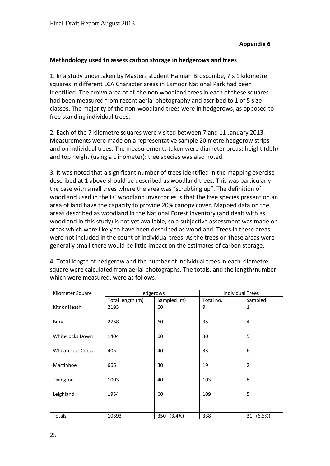# **Methodology used to assess carbon storage in hedgerows and trees**

1. In a study undertaken by Masters student Hannah Broscombe, 7 x 1 kilometre squares in different LCA Character areas in Exmoor National Park had been identified. The crown area of all the non woodland trees in each of these squares had been measured from recent aerial photography and ascribed to 1 of 5 size classes. The majority of the non-woodland trees were in hedgerows, as opposed to free standing individual trees.

2. Each of the 7 kilometre squares were visited between 7 and 11 January 2013. Measurements were made on a representative sample 20 metre hedgerow strips and on individual trees. The measurements taken were diameter breast height (dbh) and top height (using a clinometer): tree species was also noted.

3. It was noted that a significant number of trees identified in the mapping exercise described at 1 above should be described as woodland trees. This was particularly the case with small trees where the area was "scrubbing up". The definition of woodland used in the FC woodland inventories is that the tree species present on an area of land have the capacity to provide 20% canopy cover. Mapped data on the areas described as woodland in the National Forest Inventory (and dealt with as woodland in this study) is not yet available, so a subjective assessment was made on areas which were likely to have been described as woodland. Trees in these areas were not included in the count of individual trees. As the trees on these areas were generally small there would be little impact on the estimates of carbon storage.

| Kilometer Square        | Hedgerows        |               | <b>Individual Trees</b> |                |  |
|-------------------------|------------------|---------------|-------------------------|----------------|--|
|                         | Total length (m) | Sampled (m)   | Total no.               | Sampled        |  |
|                         |                  |               |                         |                |  |
| Kitnor Heath            | 2193             | 60            | 9                       | $\mathbf{1}$   |  |
|                         |                  |               |                         |                |  |
| Bury                    | 2768             | 60            | 35                      | 4              |  |
|                         |                  |               |                         |                |  |
|                         |                  |               |                         |                |  |
| <b>Whiterocks Down</b>  | 1404             | 60            | 30                      | 5              |  |
|                         |                  |               |                         |                |  |
| <b>Wheatclose Cross</b> | 405              | 40            | 33                      | 6              |  |
|                         |                  |               |                         |                |  |
| Martinhoe               | 666              | 30            |                         | $\overline{2}$ |  |
|                         |                  |               | 19                      |                |  |
|                         |                  |               |                         |                |  |
| Tivington               | 1003             | 40            | 103                     | 8              |  |
|                         |                  |               |                         |                |  |
| Leighland               | 1954             | 60            | 109                     | 5              |  |
|                         |                  |               |                         |                |  |
|                         |                  |               |                         |                |  |
|                         |                  |               |                         |                |  |
| Totals                  | 10393            | 350<br>(3.4%) | 338                     | 31 (6.5%)      |  |

4. Total length of hedgerow and the number of individual trees in each kilometre square were calculated from aerial photographs. The totals, and the length/number which were measured, were as follows: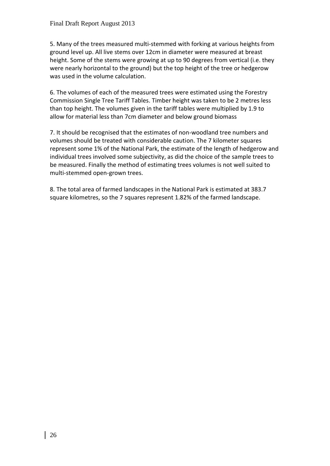5. Many of the trees measured multi-stemmed with forking at various heights from ground level up. All live stems over 12cm in diameter were measured at breast height. Some of the stems were growing at up to 90 degrees from vertical (i.e. they were nearly horizontal to the ground) but the top height of the tree or hedgerow was used in the volume calculation.

6. The volumes of each of the measured trees were estimated using the Forestry Commission Single Tree Tariff Tables. Timber height was taken to be 2 metres less than top height. The volumes given in the tariff tables were multiplied by 1.9 to allow for material less than 7cm diameter and below ground biomass

7. It should be recognised that the estimates of non-woodland tree numbers and volumes should be treated with considerable caution. The 7 kilometer squares represent some 1% of the National Park, the estimate of the length of hedgerow and individual trees involved some subjectivity, as did the choice of the sample trees to be measured. Finally the method of estimating trees volumes is not well suited to multi-stemmed open-grown trees.

8. The total area of farmed landscapes in the National Park is estimated at 383.7 square kilometres, so the 7 squares represent 1.82% of the farmed landscape.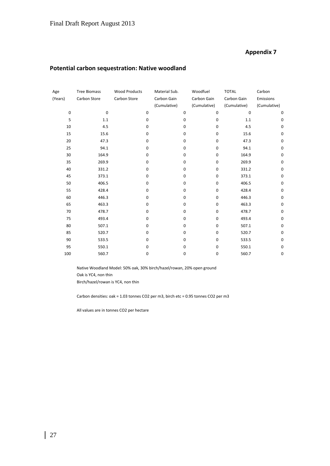# **Appendix 7**

# **Potential carbon sequestration: Native woodland**

| Age         | <b>Tree Biomass</b> | <b>Wood Products</b> | Material Sub. |             | Woodfuel     | <b>TOTAL</b> | Carbon       |
|-------------|---------------------|----------------------|---------------|-------------|--------------|--------------|--------------|
| (Years)     | Carbon Store        | Carbon Store         | Carbon Gain   |             | Carbon Gain  | Carbon Gain  | Emissions    |
|             |                     |                      | (Cumulative)  |             | (Cumulative) | (Cumulative) | (Cumulative) |
| $\mathbf 0$ | 0                   | $\mathbf 0$          |               | $\bf{0}$    | 0            | $\mathbf 0$  | 0            |
| 5           | 1.1                 | 0                    |               | $\bf{0}$    | 0            | 1.1          | 0            |
| 10          | 4.5                 | 0                    |               | $\mathbf 0$ | 0            | 4.5          | 0            |
| 15          | 15.6                | 0                    |               | 0           | 0            | 15.6         | 0            |
| 20          | 47.3                | 0                    |               | $\mathbf 0$ | 0            | 47.3         | 0            |
| 25          | 94.1                | 0                    |               | $\mathbf 0$ | 0            | 94.1         | 0            |
| 30          | 164.9               | 0                    |               | 0           | 0            | 164.9        | 0            |
| 35          | 269.9               | 0                    |               | 0           | 0            | 269.9        | 0            |
| 40          | 331.2               | 0                    |               | $\bf{0}$    | 0            | 331.2        | 0            |
| 45          | 373.1               | 0                    |               | 0           | 0            | 373.1        | 0            |
| 50          | 406.5               | $\mathbf 0$          |               | $\mathbf 0$ | 0            | 406.5        | 0            |
| 55          | 428.4               | 0                    |               | 0           | 0            | 428.4        | 0            |
| 60          | 446.3               | 0                    |               | $\mathbf 0$ | 0            | 446.3        | 0            |
| 65          | 463.3               | 0                    |               | $\mathbf 0$ | 0            | 463.3        | 0            |
| 70          | 478.7               | 0                    |               | $\bf{0}$    | 0            | 478.7        | 0            |
| 75          | 493.4               | $\mathbf 0$          |               | 0           | 0            | 493.4        | 0            |
| 80          | 507.1               | 0                    |               | $\mathbf 0$ | 0            | 507.1        | 0            |
| 85          | 520.7               | 0                    |               | $\mathbf 0$ | 0            | 520.7        | 0            |
| 90          | 533.5               | 0                    |               | $\mathbf 0$ | 0            | 533.5        | 0            |
| 95          | 550.1               | 0                    |               | $\mathbf 0$ | 0            | 550.1        | 0            |
| 100         | 560.7               | 0                    |               | 0           | 0            | 560.7        | 0            |

Native Woodland Model: 50% oak, 30% birch/hazel/rowan, 20% open ground Oak is YC4, non thin Birch/hazel/rowan is YC4, non thin

Carbon densities: oak = 1.03 tonnes CO2 per m3, birch etc = 0.95 tonnes CO2 per m3

All values are in tonnes CO2 per hectare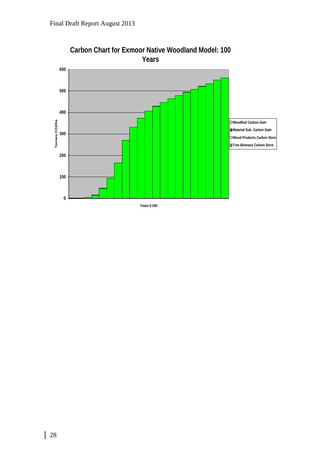

# **Carbon Chart for Exmoor Native Woodland Model: 100 Years**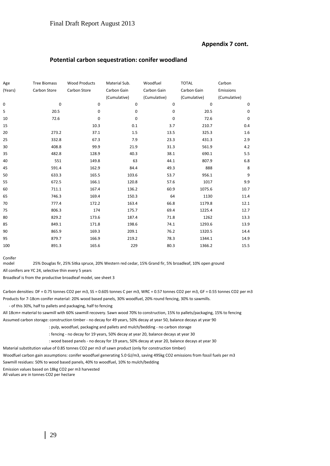#### **Appendix 7 cont.**

#### **Potential carbon sequestration: conifer woodland**

| Age             | <b>Tree Biomass</b> | <b>Wood Products</b> | Material Sub. | Woodfuel     | <b>TOTAL</b> | Carbon       |
|-----------------|---------------------|----------------------|---------------|--------------|--------------|--------------|
| (Years)         | Carbon Store        | Carbon Store         | Carbon Gain   | Carbon Gain  | Carbon Gain  | Emissions    |
|                 |                     |                      | (Cumulative)  | (Cumulative) | (Cumulative) | (Cumulative) |
| $\mathbf 0$     | $\mathbf 0$         | 0                    | $\Omega$      | 0            | $\mathbf 0$  |              |
| $5\phantom{.0}$ | 20.5                | 0                    | $\Omega$      | 0            | 20.5         |              |
| 10              |                     | 0                    | $\Omega$      | $\mathbf 0$  | 72.6         |              |
|                 | 72.6                |                      |               |              |              |              |
| 15              |                     | 10.3                 | $0.1\,$       | 3.7          | 210.7        | 0.4          |
| 20              | 273.2               | 37.1                 | 1.5           | 13.5         | 325.3        | $1.6\,$      |
| 25              | 332.8               | 67.3                 | $7.9$         | 23.3         | 431.3        | 2.9          |
| 30              | 408.8               | 99.9                 | 21.9          | 31.3         | 561.9        | $4.2\,$      |
| 35              | 482.8               | 128.9                | 40.3          | 38.1         | 690.1        |              |
| 40              | 551                 | 149.8                | 63            | 44.1         | 807.9        |              |
| 45              | 591.4               | 162.9                | 84.4          | 49.3         | 888          |              |
| 50              | 633.3               | 165.5                | 103.6         | 53.7         | 956.1        |              |
| 55              | 672.5               | 166.1                | 120.8         | 57.6         | 1017         |              |
| 60              | 711.1               | 167.4                | 136.2         | 60.9         | 1075.6       | 10.7         |
| 65              | 746.3               | 169.4                | 150.3         | 64           | 1130         | 11.4         |
| 70              | 777.4               | 172.2                | 163.4         | 66.8         | 1179.8       | 12.1         |
| 75              | 806.3               | 174                  | 175.7         | 69.4         | 1225.4       | 12.7         |
| 80              | 829.2               | 173.6                | 187.4         | 71.8         | 1262         | 13.3         |
| 85              | 849.1               | 171.8                | 198.6         | 74.1         | 1293.6       | 13.9         |
| 90              | 865.9               | 169.3                | 209.1         | 76.2         | 1320.5       | 14.4         |
|                 |                     |                      |               |              |              | 14.9         |
| 95              | 879.7               | 166.9                | 219.2         | 78.3         | 1344.1       |              |
| 100             | 891.3               | 165.6                | 229           | 80.3         | 1366.2       |              |

Conifer

model 25% Douglas fir, 25% Sitka spruce, 20% Western red cedar, 15% Grand fir, 5% broadleaf, 10% open ground

All conifers are YC 24, selective thin every 5 years

Broadleaf is from the productive broadleaf model, see sheet 3

Carbon densities: DF = 0.75 tonnes CO2 per m3, SS = 0.605 tonnes C per m3, WRC = 0.57 tonnes CO2 per m3, GF = 0.55 tonnes CO2 per m3 Products for 7-18cm conifer material: 20% wood based panels, 30% woodfuel, 20% round fencing, 30% to sawmills.

- of this 30%, half to pallets and packaging, half to fencing

All 18cm+ material to sawmill with 60% sawmill recovery. Sawn wood 70% to construction, 15% to pallets/packaging, 15% to fencing Assumed carbon storage: construction timber - no decay for 49 years, 50% decay at year 50, balance decays at year 90 : pulp, woodfuel, packaging and pallets and mulch/bedding - no carbon storage

: fencing - no decay for 19 years, 50% decay at year 20, balance decays at year 30

: wood based panels - no decay for 19 years, 50% decay at year 20, balance decays at year 30

Material substitution value of 0.85 tonnes CO2 per m3 of sawn product (only for construction timber)

Woodfuel carbon gain assumptions: conifer woodfuel generating 5.0 GJ/m3, saving 495kg CO2 emissions from fossil fuels per m3

Sawmill residues: 50% to wood based panels, 40% to woodfuel, 10% to mulch/bedding

Emission values based on 18kg CO2 per m3 harvested

All values are in tonnes CO2 per hectare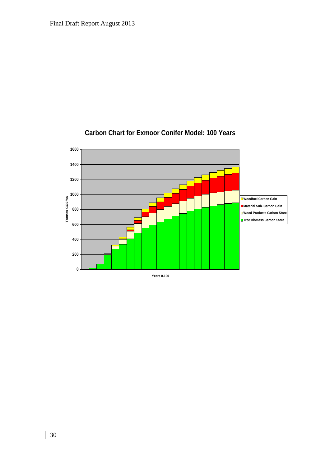

# **Carbon Chart for Exmoor Conifer Model: 100 Years**

 $\overline{\phantom{a}}$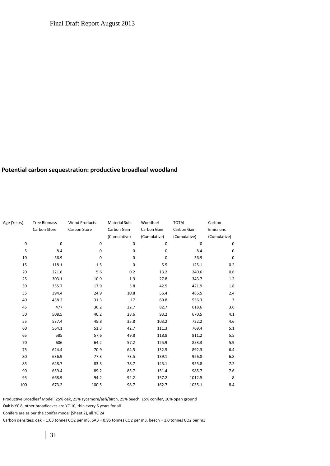#### **Potential carbon sequestration: productive broadleaf woodland**

| Age (Years) | <b>Tree Biomass</b> | <b>Wood Products</b> | Material Sub. | Woodfuel     | <b>TOTAL</b> | Carbon       |
|-------------|---------------------|----------------------|---------------|--------------|--------------|--------------|
|             | Carbon Store        | Carbon Store         | Carbon Gain   | Carbon Gain  | Carbon Gain  | Emissions    |
|             |                     |                      | (Cumulative)  | (Cumulative) | (Cumulative) | (Cumulative) |
| 0           | $\mathbf 0$         | $\mathbf 0$          | $\mathbf 0$   | $\mathbf 0$  | $\mathbf 0$  | 0            |
| 5           | 8.4                 | $\mathbf 0$          | 0             | 0            | 8.4          | 0            |
| 10          | 36.9                | 0                    | $\mathbf 0$   | $\mathbf 0$  | 36.9         | 0            |
| 15          | 118.1               | 1.5                  | $\pmb{0}$     | 5.5          | 125.1        | 0.2          |
| 20          | 221.6               | 5.6                  | 0.2           | 13.2         | 240.6        | 0.6          |
| 25          | 303.1               | 10.9                 | 1.9           | 27.8         | 343.7        | 1.2          |
| 30          | 355.7               | 17.9                 | 5.8           | 42.5         | 421.9        | 1.8          |
| 35          | 394.4               | 24.9                 | 10.8          | 56.4         | 486.5        | 2.4          |
| 40          | 438.2               | 31.3                 | 17            | 69.8         | 556.3        | 3            |
| 45          | 477                 | 36.2                 | 22.7          | 82.7         | 618.6        | 3.6          |
| 50          | 508.5               | 40.2                 | 28.6          | 93.2         | 670.5        | 4.1          |
| 55          | 537.4               | 45.8                 | 35.8          | 103.2        | 722.2        | 4.6          |
| 60          | 564.1               | 51.3                 | 42.7          | 111.3        | 769.4        | 5.1          |
| 65          | 585                 | 57.6                 | 49.8          | 118.8        | 811.2        | 5.5          |
| 70          | 606                 | 64.2                 | 57.2          | 125.9        | 853.3        | 5.9          |
| 75          | 624.4               | 70.9                 | 64.5          | 132.5        | 892.3        | 6.4          |
| 80          | 636.9               | 77.3                 | 73.5          | 139.1        | 926.8        | 6.8          |
| 85          | 648.7               | 83.3                 | 78.7          | 145.1        | 955.8        | 7.2          |
| 90          | 659.4               | 89.2                 | 85.7          | 151.4        | 985.7        | 7.6          |
| 95          | 668.9               | 94.2                 | 92.2          | 157.2        | 1012.5       | 8            |
| 100         | 673.2               | 100.5                | 98.7          | 162.7        | 1035.1       | 8.4          |

Productive Broadleaf Model: 25% oak, 25% sycamore/ash/birch, 25% beech, 15% conifer, 10% open ground

Oak is YC 8, other broadleaves are YC 10, thin every 5 years for all

Conifers are as per the conifer model (Sheet 2), all YC 24

Carbon densities: oak = 1.03 tonnes CO2 per m3, SAB = 0.95 tonnes CO2 per m3, beech = 1.0 tonnes CO2 per m3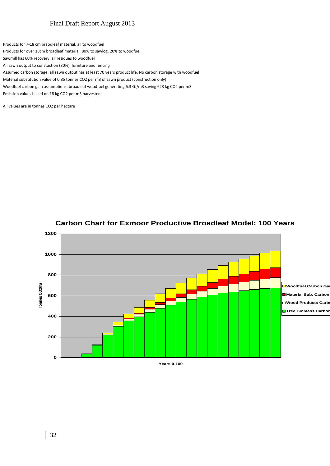Products for 7-18 cm braodleaf material: all to woodfuel

Products for over 18cm broadleaf material: 80% to sawlog, 20% to woodfuel

Sawmill has 60% recovery, all residues to woodfuel

All sawn output to constuction (80%), furniture and fencing

Assumed carbon storage: all sawn output has at least 70 years product life. No carbon storage with woodfuel

Material substitution value of 0.85 tonnes CO2 per m3 of sawn product (construction only)

Woodfuel carbon gain assumptions: broadleaf woodfuel generating 6.3 GJ/m3 saving 623 kg CO2 per m3

Emission values based on 18 kg CO2 per m3 harvested

All values are in tonnes CO2 per hectare



#### **Carbon Chart for Exmoor Productive Broadleaf Model: 100 Years**